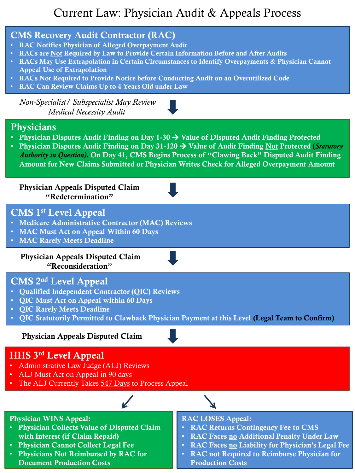## Current Law: Physician Audit & Appeals Process



**Document Production Costs**

**Production Costs**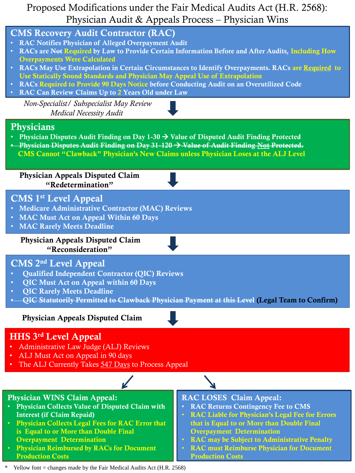## Proposed Modifications under the Fair Medical Audits Act (H.R. 2568): Physician Audit & Appeals Process – Physician Wins



Yellow font = changes made by the Fair Medical Audits Act (H.R. 2568)